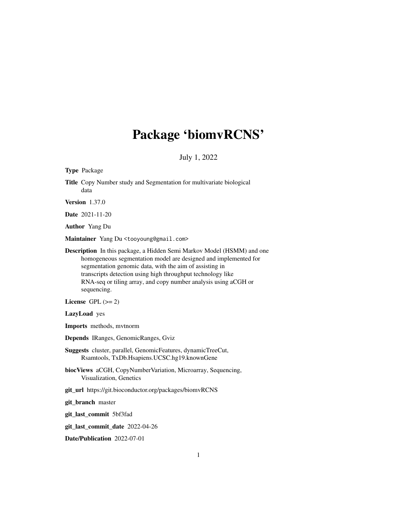# Package 'biomvRCNS'

July 1, 2022

<span id="page-0-0"></span>

| Type Package                                                                                                                                                                                                                                                                                                                                          |
|-------------------------------------------------------------------------------------------------------------------------------------------------------------------------------------------------------------------------------------------------------------------------------------------------------------------------------------------------------|
| Title Copy Number study and Segmentation for multivariate biological<br>data                                                                                                                                                                                                                                                                          |
| <b>Version</b> 1.37.0                                                                                                                                                                                                                                                                                                                                 |
| Date 2021-11-20                                                                                                                                                                                                                                                                                                                                       |
| <b>Author</b> Yang Du                                                                                                                                                                                                                                                                                                                                 |
| Maintainer Yang Du <tooyoung@gmail.com></tooyoung@gmail.com>                                                                                                                                                                                                                                                                                          |
| Description In this package, a Hidden Semi Markov Model (HSMM) and one<br>homogeneous segmentation model are designed and implemented for<br>segmentation genomic data, with the aim of assisting in<br>transcripts detection using high throughput technology like<br>RNA-seq or tiling array, and copy number analysis using aCGH or<br>sequencing. |
| License GPL $(>= 2)$                                                                                                                                                                                                                                                                                                                                  |
| LazyLoad yes                                                                                                                                                                                                                                                                                                                                          |
| <b>Imports</b> methods, mythorm                                                                                                                                                                                                                                                                                                                       |
| Depends IRanges, GenomicRanges, Gviz                                                                                                                                                                                                                                                                                                                  |
| Suggests cluster, parallel, GenomicFeatures, dynamicTreeCut,<br>Rsamtools, TxDb.Hsapiens.UCSC.hg19.knownGene                                                                                                                                                                                                                                          |
| biocViews aCGH, CopyNumberVariation, Microarray, Sequencing,<br>Visualization, Genetics                                                                                                                                                                                                                                                               |
| git_url https://git.bioconductor.org/packages/biomvRCNS                                                                                                                                                                                                                                                                                               |
| git_branch master                                                                                                                                                                                                                                                                                                                                     |
| git_last_commit 5bf3fad                                                                                                                                                                                                                                                                                                                               |
| git_last_commit_date 2022-04-26                                                                                                                                                                                                                                                                                                                       |
| Date/Publication 2022-07-01                                                                                                                                                                                                                                                                                                                           |
|                                                                                                                                                                                                                                                                                                                                                       |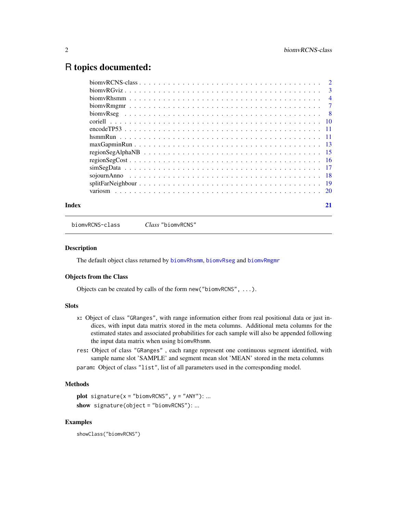# <span id="page-1-0"></span>R topics documented:

| Index | 21 |
|-------|----|

<span id="page-1-1"></span>biomvRCNS-class *Class* "biomvRCNS"

#### Description

The default object class returned by [biomvRhsmm](#page-3-1), [biomvRseg](#page-7-1) and [biomvRmgmr](#page-6-1)

#### Objects from the Class

Objects can be created by calls of the form new("biomvRCNS", ...).

#### Slots

- x: Object of class "GRanges", with range information either from real positional data or just indices, with input data matrix stored in the meta columns. Additional meta columns for the estimated states and associated probabilities for each sample will also be appended following the input data matrix when using biomvRhsmm.
- res: Object of class "GRanges" , each range represent one continuous segment identified, with sample name slot 'SAMPLE' and segment mean slot 'MEAN' stored in the meta columns param: Object of class "list", list of all parameters used in the corresponding model.

# Methods

```
plot signature(x ="biomvRCNS", y ="ANY"): ...
show signature(object = "biomvRCNS"): ...
```
#### Examples

showClass("biomvRCNS")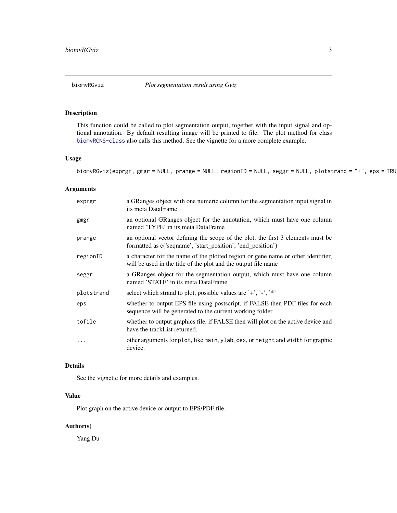<span id="page-2-0"></span>

# Description

This function could be called to plot segmentation output, together with the input signal and optional annotation. By default resulting image will be printed to file. The plot method for class [biomvRCNS-class](#page-1-1) also calls this method. See the vignette for a more complete example.

#### Usage

```
biomvRGviz(exprgr, gmgr = NULL, prange = NULL, regionID = NULL, seggr = NULL, plotstrand = "+", eps = TRU
```
# Arguments

| exprgr     | a GRanges object with one numeric column for the segmentation input signal in<br>its meta DataFrame                                                |
|------------|----------------------------------------------------------------------------------------------------------------------------------------------------|
| gmgr       | an optional GRanges object for the annotation, which must have one column<br>named 'TYPE' in its meta DataFrame                                    |
| prange     | an optional vector defining the scope of the plot, the first 3 elements must be<br>formatted as c('seqname', 'start_position', 'end_position')     |
| regionID   | a character for the name of the plotted region or gene name or other identifier,<br>will be used in the title of the plot and the output file name |
| seggr      | a GRanges object for the segmentation output, which must have one column<br>named 'STATE' in its meta DataFrame                                    |
| plotstrand | select which strand to plot, possible values are '+', '-', '*'                                                                                     |
| eps        | whether to output EPS file using postscript, if FALSE then PDF files for each<br>sequence will be generated to the current working folder.         |
| tofile     | whether to output graphics file, if FALSE then will plot on the active device and<br>have the trackList returned.                                  |
|            | other arguments for plot, like main, ylab, cex, or height and width for graphic<br>device.                                                         |

#### Details

See the vignette for more details and examples.

# Value

Plot graph on the active device or output to EPS/PDF file.

# Author(s)

Yang Du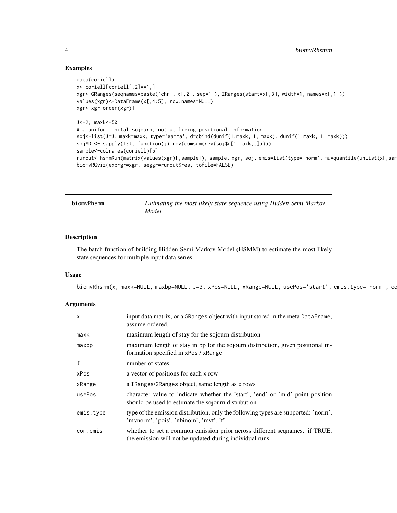#### Examples

```
data(coriell)
x<-coriell[coriell[,2]==1,]
xgr<-GRanges(seqnames=paste('chr', x[,2], sep=''), IRanges(start=x[,3], width=1, names=x[,1]))
values(xgr)<-DataFrame(x[,4:5], row.names=NULL)
xgr<-xgr[order(xgr)]
J<-2; maxk<-50
# a uniform inital sojourn, not utilizing positional information
soj<-list(J=J, maxk=maxk, type='gamma', d=cbind(dunif(1:maxk, 1, maxk), dunif(1:maxk, 1, maxk)))
soj$D <- sapply(1:J, function(j) rev(cumsum(rev(soj$d[1:maxk,j]))))
sample<-colnames(coriell)[5]
runout<-hsmmRun(matrix(values(xgr)[,sample]), sample, xgr, soj, emis=list(type='norm', mu=quantile(unlist(x[,sam
biomvRGviz(exprgr=xgr, seggr=runout$res, tofile=FALSE)
```
<span id="page-3-1"></span>

| biomvRhsmm | Estimating the most likely state sequence using Hidden Semi Markov |  |
|------------|--------------------------------------------------------------------|--|
|            | Model                                                              |  |

#### Description

The batch function of building Hidden Semi Markov Model (HSMM) to estimate the most likely state sequences for multiple input data series.

#### Usage

```
biomvRhsmm(x, maxk=NULL, maxbp=NULL, J=3, xPos=NULL, xRange=NULL, usePos='start', emis.type='norm', co
```

| $\mathsf{x}$ | input data matrix, or a GRanges object with input stored in the meta DataFrame,<br>assume ordered.                                     |
|--------------|----------------------------------------------------------------------------------------------------------------------------------------|
| maxk         | maximum length of stay for the sojourn distribution                                                                                    |
| maxbp        | maximum length of stay in bp for the sojourn distribution, given positional in-<br>formation specified in xPos / xRange                |
|              | number of states                                                                                                                       |
| xPos         | a vector of positions for each x row                                                                                                   |
| xRange       | a IRanges/GRanges object, same length as x rows                                                                                        |
| usePos       | character value to indicate whether the 'start', 'end' or 'mid' point position<br>should be used to estimate the sojourn distribution  |
| emis.type    | type of the emission distribution, only the following types are supported: 'norm',<br>'mvnorm', 'pois', 'nbinom', 'mvt', 't'           |
| com.emis     | whether to set a common emission prior across different seqnames. if TRUE,<br>the emission will not be updated during individual runs. |

<span id="page-3-0"></span>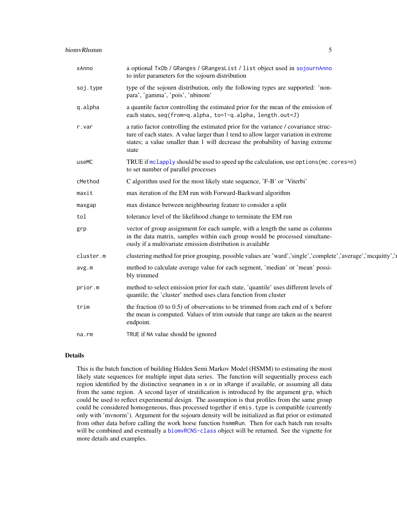<span id="page-4-0"></span>

| xAnno     | a optional TxDb / GRanges / GRangesList / list object used in sojournAnno<br>to infer parameters for the sojourn distribution                                                                                                                                          |
|-----------|------------------------------------------------------------------------------------------------------------------------------------------------------------------------------------------------------------------------------------------------------------------------|
| soj.type  | type of the sojourn distribution, only the following types are supported: 'non-<br>para', 'gamma', 'pois', 'nbinom'                                                                                                                                                    |
| q.alpha   | a quantile factor controlling the estimated prior for the mean of the emission of<br>each states, seq(from=q.alpha, to=1-q.alpha, length.out=J)                                                                                                                        |
| r.var     | a ratio factor controlling the estimated prior for the variance / covariance struc-<br>ture of each states. A value larger than 1 tend to allow larger variation in extreme<br>states; a value smaller than 1 will decrease the probability of having extreme<br>state |
| useMC     | TRUE if mclapply should be used to speed up the calculation, use options (mc. cores=n)<br>to set number of parallel processes                                                                                                                                          |
| cMethod   | C algorithm used for the most likely state sequence, 'F-B' or 'Viterbi'                                                                                                                                                                                                |
| maxit     | max iteration of the EM run with Forward-Backward algorithm                                                                                                                                                                                                            |
| maxgap    | max distance between neighbouring feature to consider a split                                                                                                                                                                                                          |
| tol       | tolerance level of the likelihood change to terminate the EM run                                                                                                                                                                                                       |
| grp       | vector of group assignment for each sample, with a length the same as columns<br>in the data matrix, samples within each group would be processed simultane-<br>ously if a multivariate emission distribution is available                                             |
| cluster.m | clustering method for prior grouping, possible values are 'ward','single','complete','average','mcquitty','                                                                                                                                                            |
| avg.m     | method to calculate average value for each segment, 'median' or 'mean' possi-<br>bly trimmed                                                                                                                                                                           |
| prior.m   | method to select emission prior for each state, 'quantile' uses different levels of<br>quantile; the 'cluster' method uses clara function from cluster                                                                                                                 |
| trim      | the fraction $(0 \text{ to } 0.5)$ of observations to be trimmed from each end of x before<br>the mean is computed. Values of trim outside that range are taken as the nearest<br>endpoint.                                                                            |
| na.rm     | TRUE if NA value should be ignored                                                                                                                                                                                                                                     |

#### Details

This is the batch function of building Hidden Semi Markov Model (HSMM) to estimating the most likely state sequences for multiple input data series. The function will sequentially process each region identified by the distinctive seqnames in x or in xRange if available, or assuming all data from the same region. A second layer of stratification is introduced by the argument grp, which could be used to reflect experimental design. The assumption is that profiles from the same group could be considered homogeneous, thus processed together if emis.type is compatible (currently only with 'mvnorm'). Argument for the sojourn density will be initialized as flat prior or estimated from other data before calling the work horse function hsmmRun. Then for each batch run results will be combined and eventually a [biomvRCNS-class](#page-1-1) object will be returned. See the vignette for more details and examples.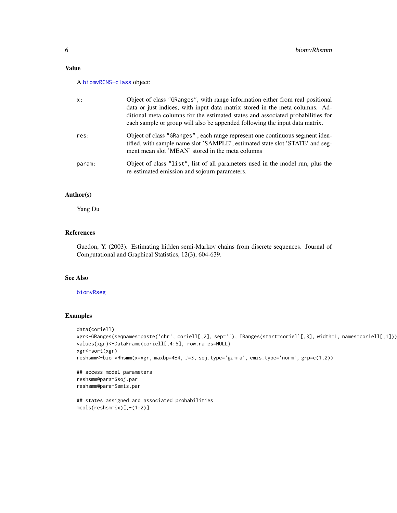# <span id="page-5-0"></span>Value

#### A [biomvRCNS-class](#page-1-1) object:

| x:     | Object of class "GRanges", with range information either from real positional<br>data or just indices, with input data matrix stored in the meta columns. Ad-<br>ditional meta columns for the estimated states and associated probabilities for<br>each sample or group will also be appended following the input data matrix. |
|--------|---------------------------------------------------------------------------------------------------------------------------------------------------------------------------------------------------------------------------------------------------------------------------------------------------------------------------------|
| res:   | Object of class "GRanges", each range represent one continuous segment iden-<br>tified, with sample name slot 'SAMPLE', estimated state slot 'STATE' and seg-<br>ment mean slot 'MEAN' stored in the meta columns                                                                                                               |
| param: | Object of class "list", list of all parameters used in the model run, plus the<br>re-estimated emission and sojourn parameters.                                                                                                                                                                                                 |

#### Author(s)

Yang Du

#### References

Guedon, Y. (2003). Estimating hidden semi-Markov chains from discrete sequences. Journal of Computational and Graphical Statistics, 12(3), 604-639.

# See Also

#### [biomvRseg](#page-7-1)

# Examples

```
data(coriell)
xgr<-GRanges(seqnames=paste('chr', coriell[,2], sep=''), IRanges(start=coriell[,3], width=1, names=coriell[,1]))
values(xgr)<-DataFrame(coriell[,4:5], row.names=NULL)
xgr<-sort(xgr)
reshsmm<-biomvRhsmm(x=xgr, maxbp=4E4, J=3, soj.type='gamma', emis.type='norm', grp=c(1,2))
```

```
## access model parameters
reshsmm@param$soj.par
reshsmm@param$emis.par
```

```
## states assigned and associated probabilities
mcols(reshsmm@x)[,-(1:2)]
```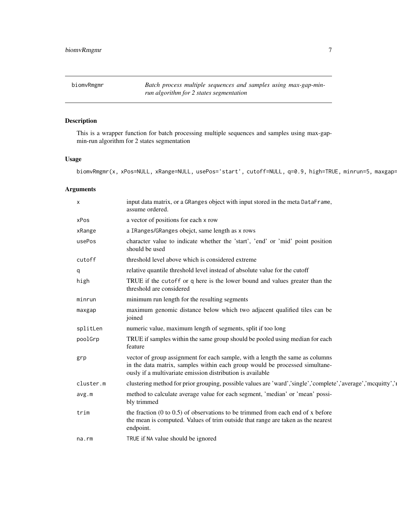<span id="page-6-1"></span><span id="page-6-0"></span>biomvRmgmr *Batch process multiple sequences and samples using max-gap-minrun algorithm for 2 states segmentation*

# Description

This is a wrapper function for batch processing multiple sequences and samples using max-gapmin-run algorithm for 2 states segmentation

# Usage

biomvRmgmr(x, xPos=NULL, xRange=NULL, usePos='start', cutoff=NULL, q=0.9, high=TRUE, minrun=5, maxgap=

| X         | input data matrix, or a GRanges object with input stored in the meta DataFrame,<br>assume ordered.                                                                                                                         |
|-----------|----------------------------------------------------------------------------------------------------------------------------------------------------------------------------------------------------------------------------|
| xPos      | a vector of positions for each x row                                                                                                                                                                                       |
| xRange    | a IRanges/GRanges obejct, same length as x rows                                                                                                                                                                            |
| usePos    | character value to indicate whether the 'start', 'end' or 'mid' point position<br>should be used                                                                                                                           |
| cutoff    | threshold level above which is considered extreme                                                                                                                                                                          |
| q         | relative quantile threshold level instead of absolute value for the cutoff                                                                                                                                                 |
| high      | TRUE if the cutoff or q here is the lower bound and values greater than the<br>threshold are considered                                                                                                                    |
| minrun    | minimum run length for the resulting segments                                                                                                                                                                              |
| maxgap    | maximum genomic distance below which two adjacent qualified tiles can be<br>joined                                                                                                                                         |
| splitLen  | numeric value, maximum length of segments, split if too long                                                                                                                                                               |
| poolGrp   | TRUE if samples within the same group should be pooled using median for each<br>feature                                                                                                                                    |
| grp       | vector of group assignment for each sample, with a length the same as columns<br>in the data matrix, samples within each group would be processed simultane-<br>ously if a multivariate emission distribution is available |
| cluster.m | clustering method for prior grouping, possible values are 'ward','single','complete','average','mcquitty','                                                                                                                |
| avg.m     | method to calculate average value for each segment, 'median' or 'mean' possi-<br>bly trimmed                                                                                                                               |
| trim      | the fraction $(0 \text{ to } 0.5)$ of observations to be trimmed from each end of x before<br>the mean is computed. Values of trim outside that range are taken as the nearest<br>endpoint.                                |
| na.rm     | TRUE if NA value should be ignored                                                                                                                                                                                         |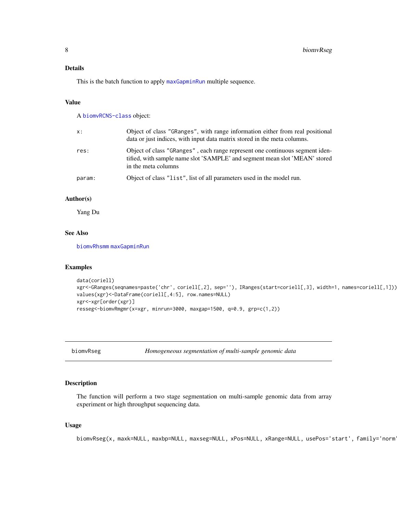# <span id="page-7-0"></span>Details

This is the batch function to apply [maxGapminRun](#page-12-1) multiple sequence.

#### Value

A [biomvRCNS-class](#page-1-1) object:

| X:     | Object of class "GRanges", with range information either from real positional<br>data or just indices, with input data matrix stored in the meta columns.                         |
|--------|-----------------------------------------------------------------------------------------------------------------------------------------------------------------------------------|
| res:   | Object of class "GRanges", each range represent one continuous segment iden-<br>tified, with sample name slot 'SAMPLE' and segment mean slot 'MEAN' stored<br>in the meta columns |
| param: | Object of class "list", list of all parameters used in the model run.                                                                                                             |

# Author(s)

Yang Du

# See Also

[biomvRhsmm](#page-3-1) [maxGapminRun](#page-12-1)

#### Examples

```
data(coriell)
xgr<-GRanges(seqnames=paste('chr', coriell[,2], sep=''), IRanges(start=coriell[,3], width=1, names=coriell[,1]))
values(xgr)<-DataFrame(coriell[,4:5], row.names=NULL)
xgr<-xgr[order(xgr)]
resseg<-biomvRmgmr(x=xgr, minrun=3000, maxgap=1500, q=0.9, grp=c(1,2))
```
<span id="page-7-1"></span>biomvRseg *Homogeneous segmentation of multi-sample genomic data*

#### Description

The function will perform a two stage segmentation on multi-sample genomic data from array experiment or high throughput sequencing data.

#### Usage

biomvRseg(x, maxk=NULL, maxbp=NULL, maxseg=NULL, xPos=NULL, xRange=NULL, usePos='start', family='norm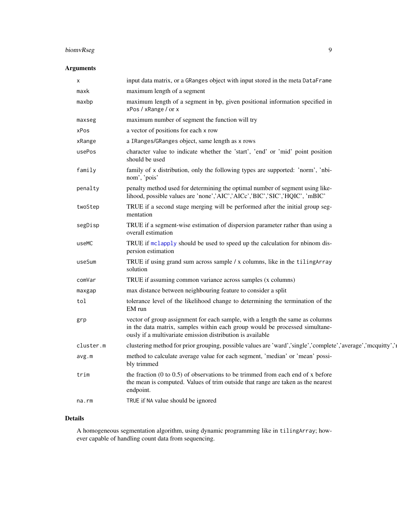# <span id="page-8-0"></span>biomvRseg 9

# Arguments

| х         | input data matrix, or a GRanges object with input stored in the meta DataFrame                                                                                                                                             |
|-----------|----------------------------------------------------------------------------------------------------------------------------------------------------------------------------------------------------------------------------|
| maxk      | maximum length of a segment                                                                                                                                                                                                |
| maxbp     | maximum length of a segment in bp, given positional information specified in<br>xPos / xRange / or x                                                                                                                       |
| maxseg    | maximum number of segment the function will try                                                                                                                                                                            |
| xPos      | a vector of positions for each x row                                                                                                                                                                                       |
| xRange    | a IRanges/GRanges object, same length as x rows                                                                                                                                                                            |
| usePos    | character value to indicate whether the 'start', 'end' or 'mid' point position<br>should be used                                                                                                                           |
| family    | family of x distribution, only the following types are supported: 'norm', 'nbi-<br>nom', 'pois'                                                                                                                            |
| penalty   | penalty method used for determining the optimal number of segment using like-<br>lihood, possible values are 'none','AIC','AICc','BIC','SIC','HQIC', 'mBIC'                                                                |
| twoStep   | TRUE if a second stage merging will be performed after the initial group seg-<br>mentation                                                                                                                                 |
| segDisp   | TRUE if a segment-wise estimation of dispersion parameter rather than using a<br>overall estimation                                                                                                                        |
| useMC     | TRUE if mclapply should be used to speed up the calculation for nbinom dis-<br>persion estimation                                                                                                                          |
| useSum    | TRUE if using grand sum across sample / x columns, like in the tiling Array<br>solution                                                                                                                                    |
| comVar    | TRUE if assuming common variance across samples (x columns)                                                                                                                                                                |
| maxgap    | max distance between neighbouring feature to consider a split                                                                                                                                                              |
| tol       | tolerance level of the likelihood change to determining the termination of the<br>EM run                                                                                                                                   |
| grp       | vector of group assignment for each sample, with a length the same as columns<br>in the data matrix, samples within each group would be processed simultane-<br>ously if a multivariate emission distribution is available |
| cluster.m | clustering method for prior grouping, possible values are 'ward','single','complete','average','mcquitty','                                                                                                                |
| avg.m     | method to calculate average value for each segment, 'median' or 'mean' possi-<br>bly trimmed                                                                                                                               |
| trim      | the fraction $(0 \text{ to } 0.5)$ of observations to be trimmed from each end of x before<br>the mean is computed. Values of trim outside that range are taken as the nearest<br>endpoint.                                |
| na.rm     | TRUE if NA value should be ignored                                                                                                                                                                                         |
|           |                                                                                                                                                                                                                            |

# Details

A homogeneous segmentation algorithm, using dynamic programming like in tilingArray; however capable of handling count data from sequencing.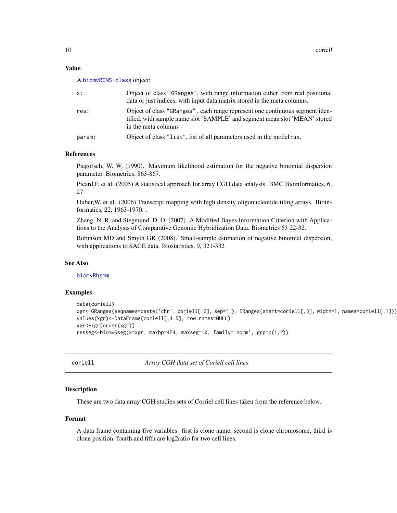#### <span id="page-9-0"></span>Value

A [biomvRCNS-class](#page-1-1) object:

| X:     | Object of class "GRanges", with range information either from real positional<br>data or just indices, with input data matrix stored in the meta columns.                         |
|--------|-----------------------------------------------------------------------------------------------------------------------------------------------------------------------------------|
| res:   | Object of class "GRanges", each range represent one continuous segment iden-<br>tified, with sample name slot 'SAMPLE' and segment mean slot 'MEAN' stored<br>in the meta columns |
| param: | Object of class "list", list of all parameters used in the model run.                                                                                                             |

#### References

Piegorsch, W. W. (1990). Maximum likelihood estimation for the negative binomial dispersion parameter. Biometrics, 863-867.

Picard,F. et al. (2005) A statistical approach for array CGH data analysis. BMC Bioinformatics, 6, 27.

Huber,W. et al. (2006) Transcript mapping with high density oligonucleotide tiling arrays. Bioinformatics, 22, 1963-1970. .

Zhang, N. R. and Siegmund, D. O. (2007). A Modified Bayes Information Criterion with Applications to the Analysis of Comparative Genomic Hybridization Data. Biometrics 63 22-32.

Robinson MD and Smyth GK (2008). Small-sample estimation of negative binomial dispersion, with applications to SAGE data. Biostatistics, 9, 321-332

#### See Also

[biomvRhsmm](#page-3-1)

#### Examples

```
data(coriell)
xgr<-GRanges(seqnames=paste('chr', coriell[,2], sep=''), IRanges(start=coriell[,3], width=1, names=coriell[,1]))
values(xgr)<-DataFrame(coriell[,4:5], row.names=NULL)
xgr<-xgr[order(xgr)]
resseg<-biomvRseg(x=xgr, maxbp=4E4, maxseg=10, family='norm', grp=c(1,2))
```
coriell *Array CGH data set of Coriell cell lines*

#### Description

These are two data array CGH studies sets of Corriel cell lines taken from the reference below.

#### Format

A data frame containing five variables: first is clone name, second is clone chromosome, third is clone position, fourth and fifth are log2ratio for two cell lines.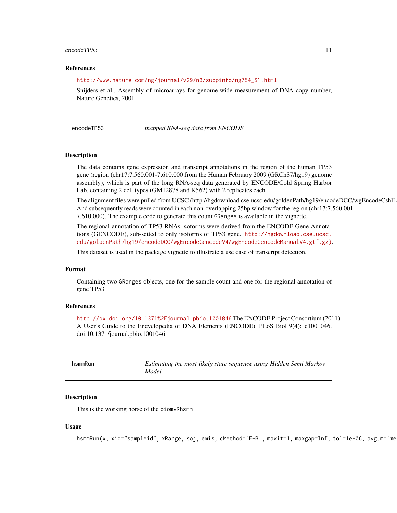#### <span id="page-10-0"></span>encodeTP53 11

#### References

#### [http://www.nature.com/ng/journal/v29/n3/suppinfo/ng754\\_S1.html](http://www.nature.com/ng/journal/v29/n3/suppinfo/ng754_S1.html)

Snijders et al., Assembly of microarrays for genome-wide measurement of DNA copy number, Nature Genetics, 2001

encodeTP53 *mapped RNA-seq data from ENCODE*

#### Description

The data contains gene expression and transcript annotations in the region of the human TP53 gene (region (chr17:7,560,001-7,610,000 from the Human February 2009 (GRCh37/hg19) genome assembly), which is part of the long RNA-seq data generated by ENCODE/Cold Spring Harbor Lab, containing 2 cell types (GM12878 and K562) with 2 replicates each.

The alignment files were pulled from UCSC (http://hgdownload.cse.ucsc.edu/goldenPath/hg19/encodeDCC/wgEncodeCshlL And subsequently reads were counted in each non-overlapping 25bp window for the region (chr17:7,560,001- 7,610,000). The example code to generate this count GRanges is available in the vignette.

The regional annotation of TP53 RNAs isoforms were derived from the ENCODE Gene Annotations (GENCODE), sub-setted to only isoforms of TP53 gene. [http://hgdownload.cse.ucsc.](http://hgdownload.cse.ucsc.edu/goldenPath/hg19/encodeDCC/wgEncodeGencodeV4/wgEncodeGencodeManualV4.gtf.gz)) [edu/goldenPath/hg19/encodeDCC/wgEncodeGencodeV4/wgEncodeGencodeManualV4.gtf.gz\)](http://hgdownload.cse.ucsc.edu/goldenPath/hg19/encodeDCC/wgEncodeGencodeV4/wgEncodeGencodeManualV4.gtf.gz)).

This dataset is used in the package vignette to illustrate a use case of transcript detection.

#### Format

Containing two GRanges objects, one for the sample count and one for the regional annotation of gene TP53

# References

<http://dx.doi.org/10.1371%2Fjournal.pbio.1001046> The ENCODE Project Consortium (2011) A User's Guide to the Encyclopedia of DNA Elements (ENCODE). PLoS Biol 9(4): e1001046. doi:10.1371/journal.pbio.1001046

| hsmmRun | Estimating the most likely state sequence using Hidden Semi Markov<br>Model |
|---------|-----------------------------------------------------------------------------|
|         |                                                                             |

#### Description

This is the working horse of the biomvRhsmm

#### Usage

hsmmRun(x, xid="sampleid", xRange, soj, emis, cMethod='F-B', maxit=1, maxgap=Inf, tol=1e-06, avg.m='me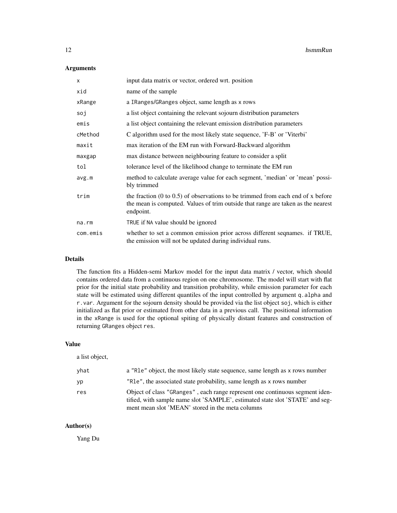# Arguments

| X        | input data matrix or vector, ordered wrt. position                                                                                                                                          |
|----------|---------------------------------------------------------------------------------------------------------------------------------------------------------------------------------------------|
| xid      | name of the sample                                                                                                                                                                          |
| xRange   | a IRanges/GRanges object, same length as x rows                                                                                                                                             |
| soj      | a list object containing the relevant sojourn distribution parameters                                                                                                                       |
| emis     | a list object containing the relevant emission distribution parameters                                                                                                                      |
| cMethod  | C algorithm used for the most likely state sequence, 'F-B' or 'Viterbi'                                                                                                                     |
| maxit    | max iteration of the EM run with Forward-Backward algorithm                                                                                                                                 |
| maxgap   | max distance between neighbouring feature to consider a split                                                                                                                               |
| tol      | tolerance level of the likelihood change to terminate the EM run                                                                                                                            |
| avg.m    | method to calculate average value for each segment, 'median' or 'mean' possi-<br>bly trimmed                                                                                                |
| trim     | the fraction $(0 \text{ to } 0.5)$ of observations to be trimmed from each end of x before<br>the mean is computed. Values of trim outside that range are taken as the nearest<br>endpoint. |
| na.rm    | TRUE if NA value should be ignored                                                                                                                                                          |
| com.emis | whether to set a common emission prior across different seqnames. if TRUE,<br>the emission will not be updated during individual runs.                                                      |

# Details

The function fits a Hidden-semi Markov model for the input data matrix / vector, which should contains ordered data from a continuous region on one chromosome. The model will start with flat prior for the initial state probability and transition probability, while emission parameter for each state will be estimated using different quantiles of the input controlled by argument q.alpha and r.var. Argument for the sojourn density should be provided via the list object soj, which is either initialized as flat prior or estimated from other data in a previous call. The positional information in the xRange is used for the optional spiting of physically distant features and construction of returning GRanges object res.

# Value

a list object,

| yhat | a "Ref" object, the most likely state sequence, same length as x rows number                                                                                                                                      |
|------|-------------------------------------------------------------------------------------------------------------------------------------------------------------------------------------------------------------------|
| yp   | "Rle", the associated state probability, same length as x rows number                                                                                                                                             |
| res  | Object of class "GRanges", each range represent one continuous segment iden-<br>tified, with sample name slot 'SAMPLE', estimated state slot 'STATE' and seg-<br>ment mean slot 'MEAN' stored in the meta columns |

# Author(s)

Yang Du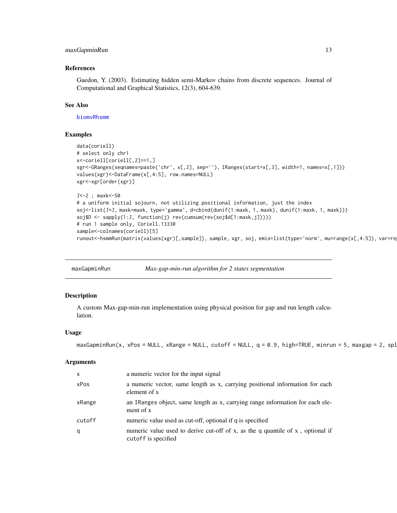# <span id="page-12-0"></span>maxGapminRun 13

#### References

Guedon, Y. (2003). Estimating hidden semi-Markov chains from discrete sequences. Journal of Computational and Graphical Statistics, 12(3), 604-639.

#### See Also

[biomvRhsmm](#page-3-1)

#### Examples

```
data(coriell)
# select only chr1
x<-coriell[coriell[,2]==1,]
xgr<-GRanges(seqnames=paste('chr', x[,2], sep=''), IRanges(start=x[,3], width=1, names=x[,1]))
values(xgr)<-DataFrame(x[,4:5], row.names=NULL)
xgr<-xgr[order(xgr)]
J<-2 ; maxk<-50
# a uniform initial sojourn, not utilizing positional information, just the index
soj<-list(J=J, maxk=maxk, type='gamma', d=cbind(dunif(1:maxk, 1, maxk), dunif(1:maxk, 1, maxk)))
soj$D <- sapply(1:J, function(j) rev(cumsum(rev(soj$d[1:maxk,j]))))
# run 1 sample only, Coriell.13330
sample<-colnames(coriell)[5]
runout<-hsmmRun(matrix(values(xgr)[,sample]), sample, xgr, soj, emis=list(type='norm', mu=range(x[,4:5]), var=re
```
<span id="page-12-1"></span>

| maxGapminRun | Max-gap-min-run algorithm for 2 states segmentation |
|--------------|-----------------------------------------------------|
|              |                                                     |

#### Description

A custom Max-gap-min-run implementation using physical position for gap and run length calculation.

#### Usage

```
maxGapminRun(x, xPos = NULL, xRange = NULL, cutoff = NULL, q = 0.9, high=TRUE, minrun = 5, maxgap = 2, spl
```

| $\mathsf{x}$ | a numeric vector for the input signal                                                                 |
|--------------|-------------------------------------------------------------------------------------------------------|
| xPos         | a numeric vector, same length as x, carrying positional information for each<br>element of x          |
| xRange       | an IRanges object, same length as x, carrying range information for each ele-<br>ment of x            |
| cutoff       | numeric value used as cut-off, optional if q is specified                                             |
| q            | numeric value used to derive cut-off of x, as the q quantile of x, optional if<br>cutoff is specified |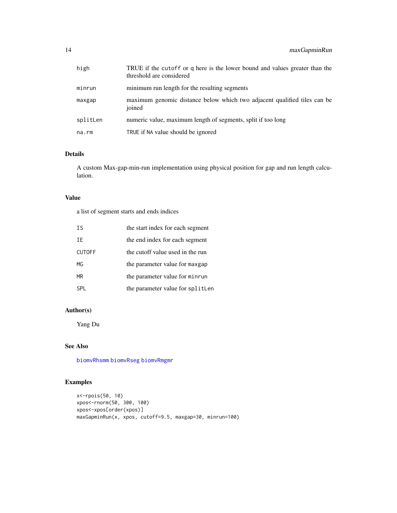<span id="page-13-0"></span>

| high     | TRUE if the cutoff or q here is the lower bound and values greater than the<br>threshold are considered |
|----------|---------------------------------------------------------------------------------------------------------|
| minrun   | minimum run length for the resulting segments                                                           |
| maxgap   | maximum genomic distance below which two adjacent qualified tiles can be<br>joined                      |
| splitLen | numeric value, maximum length of segments, split if too long                                            |
| na.rm    | TRUE if NA value should be ignored                                                                      |

# Details

A custom Max-gap-min-run implementation using physical position for gap and run length calculation.

# Value

a list of segment starts and ends indices

| T.S           | the start index for each segment |
|---------------|----------------------------------|
| TF            | the end index for each segment   |
| <b>CUTOFF</b> | the cutoff value used in the run |
| MG            | the parameter value for maxgap   |
| MR.           | the parameter value for minrun   |
| SPI.          | the parameter value for splitLen |

# Author(s)

Yang Du

# See Also

[biomvRhsmm](#page-3-1) [biomvRseg](#page-7-1) [biomvRmgmr](#page-6-1)

# Examples

```
x<-rpois(50, 10)
xpos<-rnorm(50, 300, 100)
xpos<-xpos[order(xpos)]
maxGapminRun(x, xpos, cutoff=9.5, maxgap=30, minrun=100)
```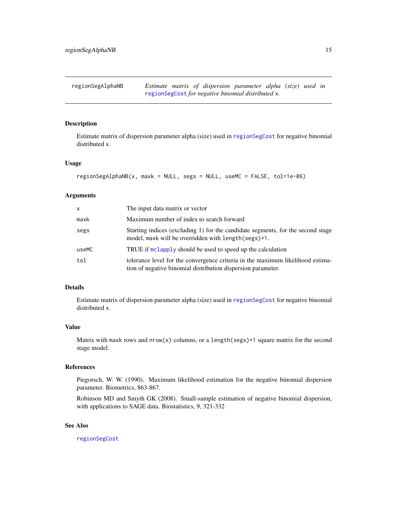<span id="page-14-1"></span><span id="page-14-0"></span>regionSegAlphaNB *Estimate matrix of dispersion parameter alpha (size) used in* [regionSegCost](#page-15-1) *for negative binomial distributed* x*.*

#### Description

Estimate matrix of dispersion parameter alpha (size) used in [regionSegCost](#page-15-1) for negative binomial distributed x.

# Usage

```
regionSegAlphaNB(x, maxk = NULL, segs = NULL, useMC = FALSE, tol=1e-06)
```
#### Arguments

| X     | The input data matrix or vector                                                                                                                |
|-------|------------------------------------------------------------------------------------------------------------------------------------------------|
| maxk  | Maximum number of index to search forward                                                                                                      |
| segs  | Starting indices (excluding 1) for the candidate segments, for the second stage<br>model, maxk will be overridden with length(segs)+1.         |
| useMC | TRUE if melapply should be used to speed up the calculation                                                                                    |
| tol   | tolerance level for the convergence criteria in the maximum likelihood estima-<br>tion of negative binomial distribution dispersion parameter. |

#### Details

Estimate matrix of dispersion parameter alpha (size) used in [regionSegCost](#page-15-1) for negative binomial distributed x.

#### Value

Matrix with maxk rows and  $nrow(x)$  columns, or a length(segs)+1 square matrix for the second stage model.

# References

Piegorsch, W. W. (1990). Maximum likelihood estimation for the negative binomial dispersion parameter. Biometrics, 863-867.

Robinson MD and Smyth GK (2008). Small-sample estimation of negative binomial dispersion, with applications to SAGE data. Biostatistics, 9, 321-332

#### See Also

[regionSegCost](#page-15-1)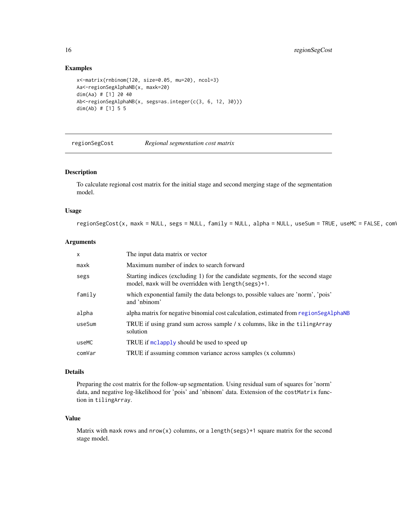#### Examples

```
x<-matrix(rnbinom(120, size=0.05, mu=20), ncol=3)
Aa<-regionSegAlphaNB(x, maxk=20)
dim(Aa) # [1] 20 40
Ab<-regionSegAlphaNB(x, segs=as.integer(c(3, 6, 12, 30)))
dim(Ab) # [1] 5 5
```
<span id="page-15-1"></span>regionSegCost *Regional segmentation cost matrix*

# Description

To calculate regional cost matrix for the initial stage and second merging stage of the segmentation model.

# Usage

 $regionSegCost(x, maxk = NULL, segs = NULL, family = NULL, alpha = NULL, useSum = TRUE, useMC = FALSE, com<sup>1</sup>$ 

#### Arguments

| $\mathsf{x}$ | The input data matrix or vector                                                                                                         |
|--------------|-----------------------------------------------------------------------------------------------------------------------------------------|
| maxk         | Maximum number of index to search forward                                                                                               |
| segs         | Starting indices (excluding 1) for the candidate segments, for the second stage<br>model, maxk will be overridden with length (segs)+1. |
| family       | which exponential family the data belongs to, possible values are 'norm', 'pois'<br>and 'nbinom'                                        |
| alpha        | alpha matrix for negative binomial cost calculation, estimated from regionSegAlphaNB                                                    |
| useSum       | TRUE if using grand sum across sample / x columns, like in the tiling Array<br>solution                                                 |
| useMC        | TRUE if mclapply should be used to speed up                                                                                             |
| comVar       | TRUE if assuming common variance across samples (x columns)                                                                             |

#### Details

Preparing the cost matrix for the follow-up segmentation. Using residual sum of squares for 'norm' data, and negative log-likelihood for 'pois' and 'nbinom' data. Extension of the costMatrix function in tilingArray.

#### Value

Matrix with maxk rows and  $nrow(x)$  columns, or a length(segs)+1 square matrix for the second stage model.

<span id="page-15-0"></span>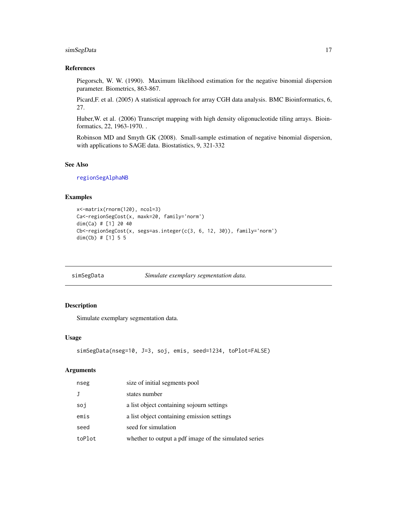# <span id="page-16-0"></span>simSegData 17

# References

Piegorsch, W. W. (1990). Maximum likelihood estimation for the negative binomial dispersion parameter. Biometrics, 863-867.

Picard,F. et al. (2005) A statistical approach for array CGH data analysis. BMC Bioinformatics, 6, 27.

Huber,W. et al. (2006) Transcript mapping with high density oligonucleotide tiling arrays. Bioinformatics, 22, 1963-1970. .

Robinson MD and Smyth GK (2008). Small-sample estimation of negative binomial dispersion, with applications to SAGE data. Biostatistics, 9, 321-332

#### See Also

[regionSegAlphaNB](#page-14-1)

#### Examples

```
x<-matrix(rnorm(120), ncol=3)
Ca<-regionSegCost(x, maxk=20, family='norm')
dim(Ca) # [1] 20 40
Cb<-regionSegCost(x, segs=as.integer(c(3, 6, 12, 30)), family='norm')
dim(Cb) # [1] 5 5
```
simSegData *Simulate exemplary segmentation data.*

# Description

Simulate exemplary segmentation data.

#### Usage

```
simSegData(nseg=10, J=3, soj, emis, seed=1234, toPlot=FALSE)
```

| nseg   | size of initial segments pool                         |
|--------|-------------------------------------------------------|
|        | states number                                         |
| soj    | a list object containing sojourn settings             |
| emis   | a list object containing emission settings            |
| seed   | seed for simulation                                   |
| toPlot | whether to output a pdf image of the simulated series |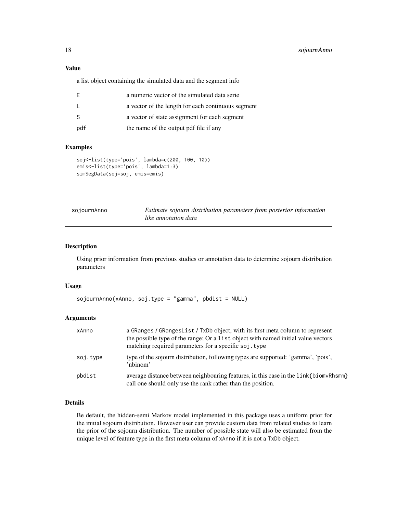#### <span id="page-17-0"></span>Value

a list object containing the simulated data and the segment info

|              | a numeric vector of the simulated data serie       |
|--------------|----------------------------------------------------|
| $\mathbf{L}$ | a vector of the length for each continuous segment |
| -S           | a vector of state assignment for each segment      |
| pdf          | the name of the output pdf file if any             |

#### Examples

```
soj<-list(type='pois', lambda=c(200, 100, 10))
emis<-list(type='pois', lambda=1:3)
simSegData(soj=soj, emis=emis)
```
<span id="page-17-1"></span>

| sojournAnno | Estimate sojourn distribution parameters from posterior information |  |  |  |
|-------------|---------------------------------------------------------------------|--|--|--|
|             | like annotation data                                                |  |  |  |

# Description

Using prior information from previous studies or annotation data to determine sojourn distribution parameters

## Usage

```
sojournAnno(xAnno, soj.type = "gamma", pbdist = NULL)
```
#### Arguments

| xAnno    | a GRanges / GRangesList / TxDb object, with its first meta column to represent<br>the possible type of the range; Or a list object with named initial value vectors<br>matching required parameters for a specific soj. type |
|----------|------------------------------------------------------------------------------------------------------------------------------------------------------------------------------------------------------------------------------|
| soj.type | type of the sojourn distribution, following types are supported: 'gamma', 'pois',<br>'nbinom'                                                                                                                                |
| pbdist   | average distance between neighbouring features, in this case in the link{biomvRhsmm}<br>call one should only use the rank rather than the position.                                                                          |

# Details

Be default, the hidden-semi Markov model implemented in this package uses a uniform prior for the initial sojourn distribution. However user can provide custom data from related studies to learn the prior of the sojourn distribution. The number of possible state will also be estimated from the unique level of feature type in the first meta column of xAnno if it is not a TxDb object.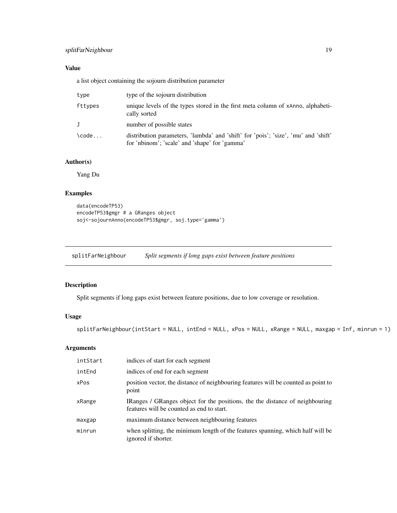# <span id="page-18-0"></span>splitFarNeighbour 19

# Value

a list object containing the sojourn distribution parameter

| type                | type of the sojourn distribution                                                                                                    |  |
|---------------------|-------------------------------------------------------------------------------------------------------------------------------------|--|
| fttypes             | unique levels of the types stored in the first meta column of xAnno, alphabeti-<br>cally sorted                                     |  |
| J                   | number of possible states                                                                                                           |  |
| $\text{Code} \dots$ | distribution parameters, 'lambda' and 'shift' for 'pois'; 'size', 'mu' and 'shift'<br>for 'nbinom'; 'scale' and 'shape' for 'gamma' |  |

# Author(s)

Yang Du

# Examples

```
data(encodeTP53)
encodeTP53$gmgr # a GRanges object
soj<-sojournAnno(encodeTP53$gmgr, soj.type='gamma')
```
splitFarNeighbour *Split segments if long gaps exist between feature positions*

# Description

Split segments if long gaps exist between feature positions, due to low coverage or resolution.

# Usage

```
splitFarNeighbour(intStart = NULL, intEnd = NULL, xPos = NULL, xRange = NULL, maxgap = Inf, minrun = 1)
```

| intStart | indices of start for each segment                                                                                         |
|----------|---------------------------------------------------------------------------------------------------------------------------|
| intEnd   | indices of end for each segment                                                                                           |
| xPos     | position vector, the distance of neighbouring features will be counted as point to<br>point                               |
| xRange   | IRanges / GRanges object for the positions, the the distance of neighbouring<br>features will be counted as end to start. |
| maxgap   | maximum distance between neighbouring features                                                                            |
| minrun   | when splitting, the minimum length of the features spanning, which half will be<br>ignored if shorter.                    |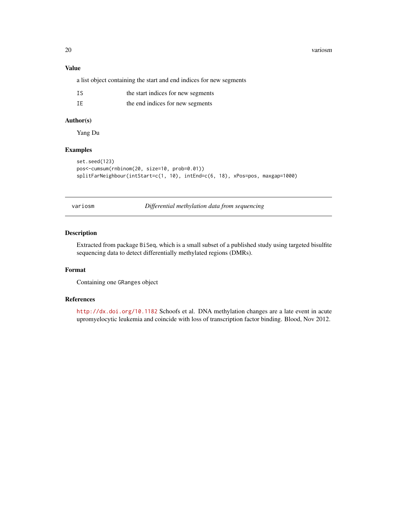20 variosm

# Value

a list object containing the start and end indices for new segments

| ΙS | the start indices for new segments |
|----|------------------------------------|
| IE | the end indices for new segments   |

# Author(s)

Yang Du

# Examples

```
set.seed(123)
pos<-cumsum(rnbinom(20, size=10, prob=0.01))
splitFarNeighbour(intStart=c(1, 10), intEnd=c(6, 18), xPos=pos, maxgap=1000)
```
variosm *Differential methylation data from sequencing*

#### Description

Extracted from package BiSeq, which is a small subset of a published study using targeted bisulfite sequencing data to detect differentially methylated regions (DMRs).

#### Format

Containing one GRanges object

#### References

<http://dx.doi.org/10.1182> Schoofs et al. DNA methylation changes are a late event in acute upromyelocytic leukemia and coincide with loss of transcription factor binding. Blood, Nov 2012.

<span id="page-19-0"></span>